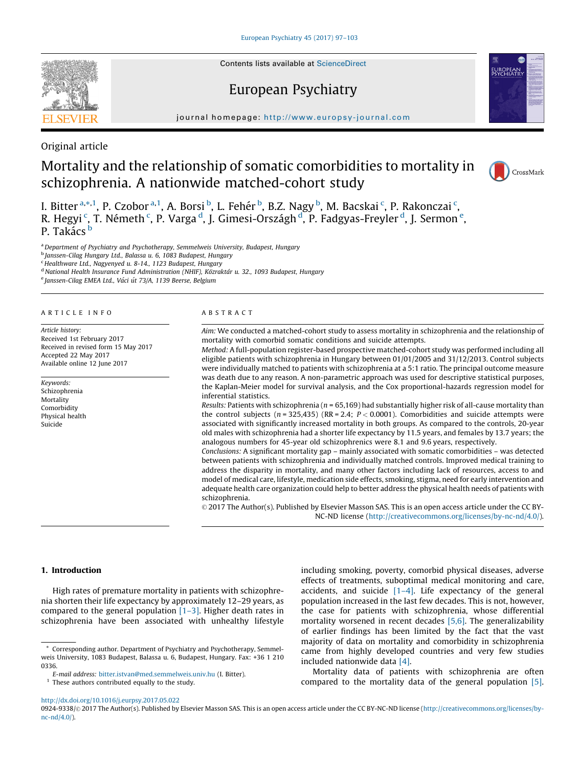Contents lists available at [ScienceDirect](http://www.sciencedirect.com/science/journal/09249338)

# European Psychiatry



journal homepage: http://www.europsy-journal.com

Original article

SEVIE

# Mortality and the relationship of somatic comorbidities to mortality in schizophrenia. A nationwide matched-cohort study



I. Bitter <sup>a,\*,1</sup>, P. Czobor <sup>a,1</sup>, A. Borsi <sup>b</sup>, L. Fehér <sup>b</sup>, B.Z. Nagy <sup>b</sup>, M. Bacskai <sup>c</sup>, P. Rakonczai <sup>c</sup>, R. Hegyi <sup>c</sup>, T. Németh <sup>c</sup>, P. Varga <sup>d</sup>, J. Gimesi-Országh <sup>d</sup>, P. Fadgyas-Freyler <sup>d</sup>, J. Sermon <sup>e</sup>,  $P$ . Takács  $\frac{b}{2}$ 

a Department of Psychiatry and Psychotherapy, Semmelweis University, Budapest, Hungary

<sup>b</sup> Janssen-Cilag Hungary Ltd., Balassa u. 6, 1083 Budapest, Hungary

<sup>c</sup> Healthware Ltd., Nagyenyed u. 8-14., 1123 Budapest, Hungary

d National Health Insurance Fund Administration (NHIF), Közraktár u. 32., 1093 Budapest, Hungary

e Janssen-Cilag EMEA Ltd., Váci út 73/A, 1139 Beerse, Belgium

#### A R T I C L E I N F O

Article history: Received 1st February 2017 Received in revised form 15 May 2017 Accepted 22 May 2017 Available online 12 June 2017

Keywords: Schizophrenia Mortality Comorbidity Physical health Suicide

#### A B S T R A C T

Aim: We conducted a matched-cohort study to assess mortality in schizophrenia and the relationship of mortality with comorbid somatic conditions and suicide attempts.

Method: A full-population register-based prospective matched-cohort study was performed including all eligible patients with schizophrenia in Hungary between 01/01/2005 and 31/12/2013. Control subjects were individually matched to patients with schizophrenia at a 5:1 ratio. The principal outcome measure was death due to any reason. A non-parametric approach was used for descriptive statistical purposes, the Kaplan-Meier model for survival analysis, and the Cox proportional-hazards regression model for inferential statistics.

Results: Patients with schizophrenia ( $n = 65,169$ ) had substantially higher risk of all-cause mortality than the control subjects ( $n = 325,435$ ) (RR = 2.4;  $P < 0.0001$ ). Comorbidities and suicide attempts were associated with significantly increased mortality in both groups. As compared to the controls, 20-year old males with schizophrenia had a shorter life expectancy by 11.5 years, and females by 13.7 years; the analogous numbers for 45-year old schizophrenics were 8.1 and 9.6 years, respectively.

Conclusions: A significant mortality gap – mainly associated with somatic comorbidities – was detected between patients with schizophrenia and individually matched controls. Improved medical training to address the disparity in mortality, and many other factors including lack of resources, access to and model of medical care, lifestyle, medication side effects, smoking, stigma, need for early intervention and adequate health care organization could help to better address the physical health needs of patients with schizophrenia.

© 2017 The Author(s). Published by Elsevier Masson SAS. This is an open access article under the CC BY-NC-ND license [\(http://creativecommons.org/licenses/by-nc-nd/4.0/](http://creativecommons.org/licenses/by-nc-nd/4.0/)).

# 1. Introduction

High rates of premature mortality in patients with schizophrenia shorten their life expectancy by approximately 12–29 years, as compared to the general population  $[1-3]$ . Higher death rates in schizophrenia have been associated with unhealthy lifestyle including smoking, poverty, comorbid physical diseases, adverse effects of treatments, suboptimal medical monitoring and care, accidents, and suicide  $[1-4]$ . Life expectancy of the general population increased in the last few decades. This is not, however, the case for patients with schizophrenia, whose differential mortality worsened in recent decades [\[5,6\].](#page-6-0) The generalizability of earlier findings has been limited by the fact that the vast majority of data on mortality and comorbidity in schizophrenia came from highly developed countries and very few studies included nationwide data [\[4\].](#page-6-0)

Mortality data of patients with schizophrenia are often compared to the mortality data of the general population [\[5\].](#page-6-0)

<http://dx.doi.org/10.1016/j.eurpsy.2017.05.022>

0924-9338/© 2017 The Author(s). Published by Elsevier Masson SAS. This is an open access article under the CC BY-NC-ND license ([http://creativecommons.org/licenses/by](http://creativecommons.org/licenses/by-nc-nd/4.0/) $nc-nd/4.0/$ ).

Corresponding author. Department of Psychiatry and Psychotherapy, Semmelweis University, 1083 Budapest, Balassa u. 6, Budapest, Hungary. Fax: +36 1 210 0336.

E-mail address: [bitter.istvan@med.semmelweis.univ.hu](mailto:bitter.istvan@med.semmelweis.univ.hu) (I. Bitter).  $1$  These authors contributed equally to the study.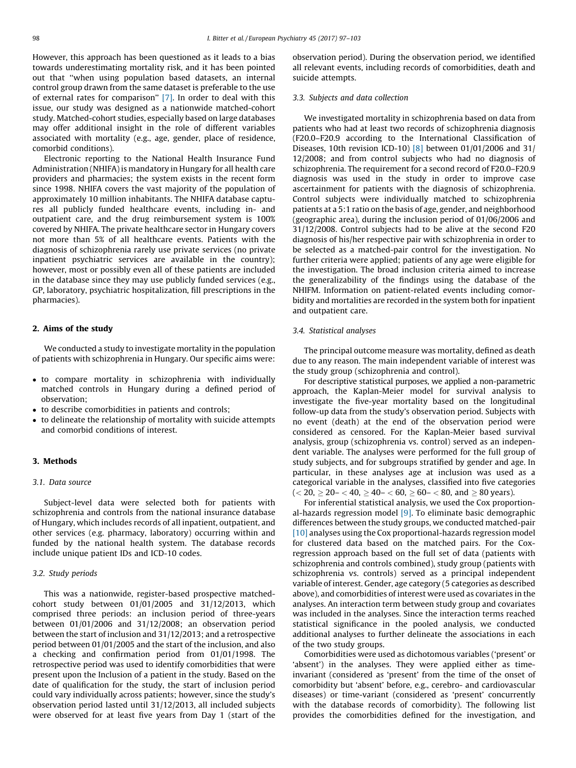However, this approach has been questioned as it leads to a bias towards underestimating mortality risk, and it has been pointed out that ''when using population based datasets, an internal control group drawn from the same dataset is preferable to the use of external rates for comparison'' [\[7\]](#page-6-0). In order to deal with this issue, our study was designed as a nationwide matched-cohort study. Matched-cohort studies, especially based on large databases may offer additional insight in the role of different variables associated with mortality (e.g., age, gender, place of residence, comorbid conditions).

Electronic reporting to the National Health Insurance Fund Administration (NHIFA) is mandatory in Hungary for all health care providers and pharmacies; the system exists in the recent form since 1998. NHIFA covers the vast majority of the population of approximately 10 million inhabitants. The NHIFA database captures all publicly funded healthcare events, including in- and outpatient care, and the drug reimbursement system is 100% covered by NHIFA. The private healthcare sector in Hungary covers not more than 5% of all healthcare events. Patients with the diagnosis of schizophrenia rarely use private services (no private inpatient psychiatric services are available in the country); however, most or possibly even all of these patients are included in the database since they may use publicly funded services (e.g., GP, laboratory, psychiatric hospitalization, fill prescriptions in the pharmacies).

### 2. Aims of the study

We conducted a study to investigate mortality in the population of patients with schizophrenia in Hungary. Our specific aims were:

- to compare mortality in schizophrenia with individually matched controls in Hungary during a defined period of observation;
- to describe comorbidities in patients and controls;
- to delineate the relationship of mortality with suicide attempts and comorbid conditions of interest.

# 3. Methods

#### 3.1. Data source

Subject-level data were selected both for patients with schizophrenia and controls from the national insurance database of Hungary, which includes records of all inpatient, outpatient, and other services (e.g. pharmacy, laboratory) occurring within and funded by the national health system. The database records include unique patient IDs and ICD-10 codes.

### 3.2. Study periods

This was a nationwide, register-based prospective matchedcohort study between 01/01/2005 and 31/12/2013, which comprised three periods: an inclusion period of three-years between 01/01/2006 and 31/12/2008; an observation period between the start of inclusion and 31/12/2013; and a retrospective period between 01/01/2005 and the start of the inclusion, and also a checking and confirmation period from 01/01/1998. The retrospective period was used to identify comorbidities that were present upon the Inclusion of a patient in the study. Based on the date of qualification for the study, the start of inclusion period could vary individually across patients; however, since the study's observation period lasted until 31/12/2013, all included subjects were observed for at least five years from Day 1 (start of the observation period). During the observation period, we identified all relevant events, including records of comorbidities, death and suicide attempts.

# 3.3. Subjects and data collection

We investigated mortality in schizophrenia based on data from patients who had at least two records of schizophrenia diagnosis (F20.0–F20.9 according to the International Classification of Diseases, 10th revision ICD-10) [\[8\]](#page-6-0) between 01/01/2006 and 31/ 12/2008; and from control subjects who had no diagnosis of schizophrenia. The requirement for a second record of F20.0–F20.9 diagnosis was used in the study in order to improve case ascertainment for patients with the diagnosis of schizophrenia. Control subjects were individually matched to schizophrenia patients at a 5:1 ratio on the basis of age, gender, and neighborhood (geographic area), during the inclusion period of 01/06/2006 and 31/12/2008. Control subjects had to be alive at the second F20 diagnosis of his/her respective pair with schizophrenia in order to be selected as a matched-pair control for the investigation. No further criteria were applied; patients of any age were eligible for the investigation. The broad inclusion criteria aimed to increase the generalizability of the findings using the database of the NHIFM. Information on patient-related events including comorbidity and mortalities are recorded in the system both for inpatient and outpatient care.

# 3.4. Statistical analyses

The principal outcome measure was mortality, defined as death due to any reason. The main independent variable of interest was the study group (schizophrenia and control).

For descriptive statistical purposes, we applied a non-parametric approach, the Kaplan-Meier model for survival analysis to investigate the five-year mortality based on the longitudinal follow-up data from the study's observation period. Subjects with no event (death) at the end of the observation period were considered as censored. For the Kaplan-Meier based survival analysis, group (schizophrenia vs. control) served as an independent variable. The analyses were performed for the full group of study subjects, and for subgroups stratified by gender and age. In particular, in these analyses age at inclusion was used as a categorical variable in the analyses, classified into five categories  $(< 20, \geq 20 - < 40, \geq 40 - < 60, \geq 60 - < 80, \text{ and } \geq 80 \text{ years}).$ 

For inferential statistical analysis, we used the Cox proportional-hazards regression model  $[9]$ . To eliminate basic demographic differences between the study groups, we conducted matched-pair [\[10\]](#page-6-0) analyses using the Cox proportional-hazards regression model for clustered data based on the matched pairs. For the Coxregression approach based on the full set of data (patients with schizophrenia and controls combined), study group (patients with schizophrenia vs. controls) served as a principal independent variable of interest. Gender, age category (5 categories as described above), and comorbidities of interest were used as covariates in the analyses. An interaction term between study group and covariates was included in the analyses. Since the interaction terms reached statistical significance in the pooled analysis, we conducted additional analyses to further delineate the associations in each of the two study groups.

Comorbidities were used as dichotomous variables ('present' or 'absent') in the analyses. They were applied either as timeinvariant (considered as 'present' from the time of the onset of comorbidity but 'absent' before, e.g., cerebro- and cardiovascular diseases) or time-variant (considered as 'present' concurrently with the database records of comorbidity). The following list provides the comorbidities defined for the investigation, and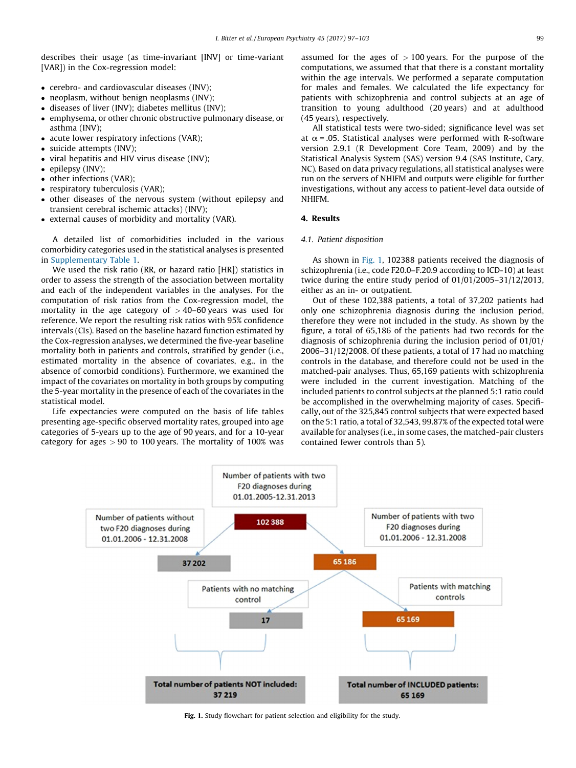describes their usage (as time-invariant [INV] or time-variant [VAR]) in the Cox-regression model:

- cerebro- and cardiovascular diseases (INV);
- neoplasm, without benign neoplasms (INV);
- diseases of liver (INV); diabetes mellitus (INV);
- emphysema, or other chronic obstructive pulmonary disease, or asthma (INV);
- acute lower respiratory infections (VAR);
- suicide attempts (INV);
- viral hepatitis and HIV virus disease (INV);
- epilepsy (INV);
- other infections (VAR);
- respiratory tuberculosis (VAR);
- other diseases of the nervous system (without epilepsy and transient cerebral ischemic attacks) (INV);
- external causes of morbidity and mortality (VAR).

A detailed list of comorbidities included in the various comorbidity categories used in the statistical analyses is presented in Supplementary Table 1.

We used the risk ratio (RR, or hazard ratio [HR]) statistics in order to assess the strength of the association between mortality and each of the independent variables in the analyses. For the computation of risk ratios from the Cox-regression model, the mortality in the age category of  $>$  40–60 years was used for reference. We report the resulting risk ratios with 95% confidence intervals (CIs). Based on the baseline hazard function estimated by the Cox-regression analyses, we determined the five-year baseline mortality both in patients and controls, stratified by gender (i.e., estimated mortality in the absence of covariates, e.g., in the absence of comorbid conditions). Furthermore, we examined the impact of the covariates on mortality in both groups by computing the 5-year mortality in the presence of each of the covariates in the statistical model.

Life expectancies were computed on the basis of life tables presenting age-specific observed mortality rates, grouped into age categories of 5-years up to the age of 90 years, and for a 10-year category for ages  $> 90$  to 100 years. The mortality of 100% was

assumed for the ages of  $> 100$  years. For the purpose of the computations, we assumed that that there is a constant mortality within the age intervals. We performed a separate computation for males and females. We calculated the life expectancy for patients with schizophrenia and control subjects at an age of transition to young adulthood (20 years) and at adulthood (45 years), respectively.

All statistical tests were two-sided; significance level was set at  $\alpha$  = .05. Statistical analyses were performed with R-software version 2.9.1 (R Development Core Team, 2009) and by the Statistical Analysis System (SAS) version 9.4 (SAS Institute, Cary, NC). Based on data privacy regulations, all statistical analyses were run on the servers of NHIFM and outputs were eligible for further investigations, without any access to patient-level data outside of NHIFM.

## 4. Results

### 4.1. Patient disposition

As shown in Fig. 1, 102388 patients received the diagnosis of schizophrenia (i.e., code F20.0–F.20.9 according to ICD-10) at least twice during the entire study period of 01/01/2005–31/12/2013, either as an in- or outpatient.

Out of these 102,388 patients, a total of 37,202 patients had only one schizophrenia diagnosis during the inclusion period, therefore they were not included in the study. As shown by the figure, a total of 65,186 of the patients had two records for the diagnosis of schizophrenia during the inclusion period of 01/01/ 2006–31/12/2008. Of these patients, a total of 17 had no matching controls in the database, and therefore could not be used in the matched-pair analyses. Thus, 65,169 patients with schizophrenia were included in the current investigation. Matching of the included patients to control subjects at the planned 5:1 ratio could be accomplished in the overwhelming majority of cases. Specifically, out of the 325,845 control subjects that were expected based on the 5:1 ratio, a total of 32,543, 99.87% of the expected total were available for analyses (i.e., in some cases, the matched-pair clusters contained fewer controls than 5).



Fig. 1. Study flowchart for patient selection and eligibility for the study.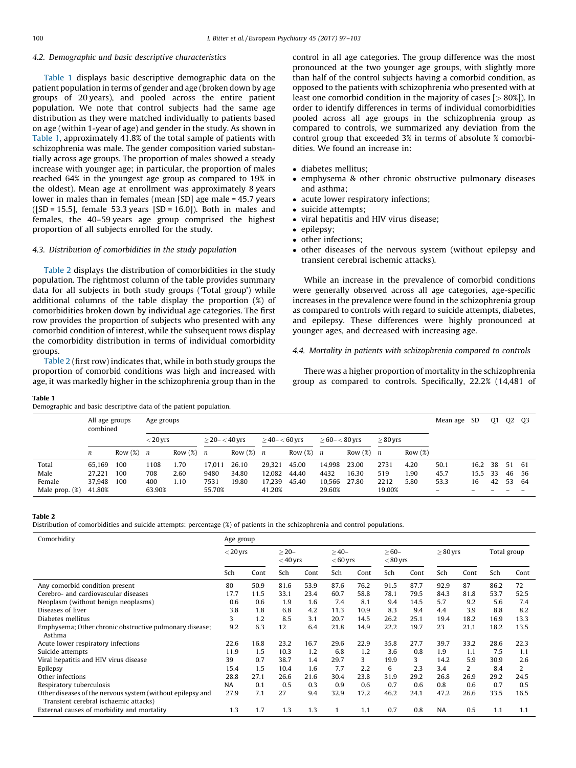# 4.2. Demographic and basic descriptive characteristics

Table 1 displays basic descriptive demographic data on the patient population in terms of gender and age (broken down by age groups of 20 years), and pooled across the entire patient population. We note that control subjects had the same age distribution as they were matched individually to patients based on age (within 1-year of age) and gender in the study. As shown in Table 1, approximately 41.8% of the total sample of patients with schizophrenia was male. The gender composition varied substantially across age groups. The proportion of males showed a steady increase with younger age; in particular, the proportion of males reached 64% in the youngest age group as compared to 19% in the oldest). Mean age at enrollment was approximately 8 years lower in males than in females (mean [SD] age male = 45.7 years  $([SD = 15.5],$  female 53.3 years  $[SD = 16.0]$ ). Both in males and females, the 40–59 years age group comprised the highest proportion of all subjects enrolled for the study.

### 4.3. Distribution of comorbidities in the study population

Table 2 displays the distribution of comorbidities in the study population. The rightmost column of the table provides summary data for all subjects in both study groups ('Total group') while additional columns of the table display the proportion (%) of comorbidities broken down by individual age categories. The first row provides the proportion of subjects who presented with any comorbid condition of interest, while the subsequent rows display the comorbidity distribution in terms of individual comorbidity groups.

Table 2 (first row) indicates that, while in both study groups the proportion of comorbid conditions was high and increased with age, it was markedly higher in the schizophrenia group than in the

control in all age categories. The group difference was the most pronounced at the two younger age groups, with slightly more than half of the control subjects having a comorbid condition, as opposed to the patients with schizophrenia who presented with at least one comorbid condition in the majority of cases [> 80%]). In order to identify differences in terms of individual comorbidities pooled across all age groups in the schizophrenia group as compared to controls, we summarized any deviation from the control group that exceeded 3% in terms of absolute % comorbidities. We found an increase in:

- diabetes mellitus;
- emphysema & other chronic obstructive pulmonary diseases and asthma;
- acute lower respiratory infections:
- suicide attempts;
- viral hepatitis and HIV virus disease;
- epilepsy;
- other infections;
- other diseases of the nervous system (without epilepsy and transient cerebral ischemic attacks).

While an increase in the prevalence of comorbid conditions were generally observed across all age categories, age-specific increases in the prevalence were found in the schizophrenia group as compared to controls with regard to suicide attempts, diabetes, and epilepsy. These differences were highly pronounced at younger ages, and decreased with increasing age.

### 4.4. Mortality in patients with schizophrenia compared to controls

There was a higher proportion of mortality in the schizophrenia group as compared to controls. Specifically, 22.2% (14,481 of

#### Table 1

Demographic and basic descriptive data of the patient population.

|                   | All age groups<br>combined |              |            | Age groups   |                    |              |                    |                              |                  |              |            |      |      |      | Q1 | Q <sub>2</sub> | -03 |
|-------------------|----------------------------|--------------|------------|--------------|--------------------|--------------|--------------------|------------------------------|------------------|--------------|------------|------|------|------|----|----------------|-----|
|                   |                            |              | $< 20$ yrs |              | $>$ 20- $<$ 40 yrs |              | $>$ 40- $<$ 60 yrs |                              | $>60 - < 80$ vrs |              | $>80$ yrs  |      |      |      |    |                |     |
|                   | n                          | Row $(\%)$ n |            | Row $(\%)$ n |                    | Row $(\%)$ n |                    | Row $(\%)$<br>$\overline{n}$ |                  | Row $(\%)$ n | Row $(\%)$ |      |      |      |    |                |     |
| Total             | 65.169                     | 100          | 1108       | 1.70         | 17.011             | 26.10        | 29.321             | 45.00                        | 14.998           | 23.00        | 2731       | 4.20 | 50.1 | 16.2 | 38 | 51 61          |     |
| Male              | 27,221                     | 100          | 708        | 2.60         | 9480               | 34.80        | 12.082             | 44.40                        | 4432             | 16.30        | 519        | 1.90 | 45.7 | 15.5 | 33 | 46             | -56 |
| Female            | 37,948                     | 100          | 400        | 1.10         | 7531               | 19.80        | 17.239             | 45.40                        | 10.566           | 27.80        | 2212       | 5.80 | 53.3 | 16   | 42 | 53             | -64 |
| Male prop. $(\%)$ | 41.80%                     |              | 63.90%     |              | 55.70%             |              | 41.20%             |                              | 29.60%           |              | 19.00%     |      | -    |      |    |                |     |

#### Table 2

Distribution of comorbidities and suicide attempts: percentage (%) of patients in the schizophrenia and control populations.

| Comorbidity                                                                                         |            | Age group |                      |      |                      |      |                      |      |           |                |             |      |  |
|-----------------------------------------------------------------------------------------------------|------------|-----------|----------------------|------|----------------------|------|----------------------|------|-----------|----------------|-------------|------|--|
|                                                                                                     | $< 20$ yrs |           | $>20-$<br>$<$ 40 yrs |      | $>40-$<br>$< 60$ yrs |      | $>60-$<br>$< 80$ yrs |      | $>80$ yrs |                | Total group |      |  |
|                                                                                                     | Sch        | Cont      | Sch                  | Cont | Sch                  | Cont | Sch                  | Cont | Sch       | Cont           | Sch         | Cont |  |
| Any comorbid condition present                                                                      | 80         | 50.9      | 81.6                 | 53.9 | 87.6                 | 76.2 | 91.5                 | 87.7 | 92.9      | 87             | 86.2        | 72   |  |
| Cerebro- and cardiovascular diseases                                                                |            | 11.5      | 33.1                 | 23.4 | 60.7                 | 58.8 | 78.1                 | 79.5 | 84.3      | 81.8           | 53.7        | 52.5 |  |
| Neoplasm (without benign neoplasms)                                                                 |            | 0.6       | 1.9                  | 1.6  | 7.4                  | 8.1  | 9.4                  | 14.5 | 5.7       | 9.2            | 5.6         | 7.4  |  |
| Diseases of liver                                                                                   |            | 1.8       | 6.8                  | 4.2  | 11.3                 | 10.9 | 8.3                  | 9.4  | 4.4       | 3.9            | 8.8         | 8.2  |  |
| Diabetes mellitus                                                                                   |            | 1.2       | 8.5                  | 3.1  | 20.7                 | 14.5 | 26.2                 | 25.1 | 19.4      | 18.2           | 16.9        | 13.3 |  |
| Emphysema; Other chronic obstructive pulmonary disease;<br>Asthma                                   |            | 6.3       | 12                   | 6.4  | 21.8                 | 14.9 | 22.2                 | 19.7 | 23        | 21.1           | 18.2        | 13.5 |  |
| Acute lower respiratory infections                                                                  | 22.6       | 16.8      | 23.2                 | 16.7 | 29.6                 | 22.9 | 35.8                 | 27.7 | 39.7      | 33.2           | 28.6        | 22.3 |  |
| Suicide attempts                                                                                    | 11.9       | 1.5       | 10.3                 | 1.2  | 6.8                  | 1.2  | 3.6                  | 0.8  | 1.9       | 1.1            | 7.5         | 1.1  |  |
| Viral hepatitis and HIV virus disease                                                               |            | 0.7       | 38.7                 | 1.4  | 29.7                 | 3    | 19.9                 | 3    | 14.2      | 5.9            | 30.9        | 2.6  |  |
| Epilepsy                                                                                            |            | 1.5       | 10.4                 | 1.6  | 7.7                  | 2.2  | 6                    | 2.3  | 3.4       | $\overline{2}$ | 8.4         | 2    |  |
| Other infections                                                                                    | 28.8       | 27.1      | 26.6                 | 21.6 | 30.4                 | 23.8 | 31.9                 | 29.2 | 26.8      | 26.9           | 29.2        | 24.5 |  |
| Respiratory tuberculosis                                                                            |            | 0.1       | 0.5                  | 0.3  | 0.9                  | 0.6  | 0.7                  | 0.6  | 0.8       | 0.6            | 0.7         | 0.5  |  |
| Other diseases of the nervous system (without epilepsy and<br>Transient cerebral ischaemic attacks) | 27.9       | 7.1       | 27                   | 9.4  | 32.9                 | 17.2 | 46.2                 | 24.1 | 47.2      | 26.6           | 33.5        | 16.5 |  |
| External causes of morbidity and mortality                                                          | 1.3        | 1.7       | 1.3                  | 1.3  |                      | 1.1  | 0.7                  | 0.8  | <b>NA</b> | 0.5            | 1.1         | 1.1  |  |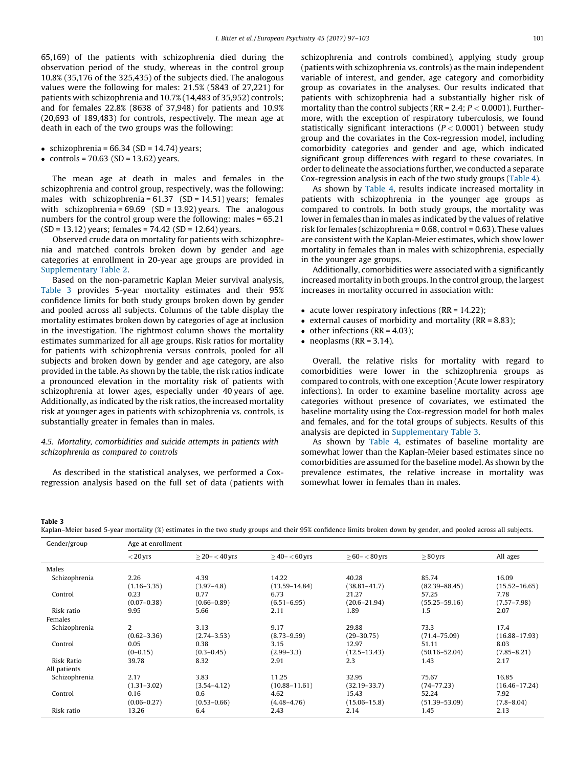65,169) of the patients with schizophrenia died during the observation period of the study, whereas in the control group 10.8% (35,176 of the 325,435) of the subjects died. The analogous values were the following for males: 21.5% (5843 of 27,221) for patients with schizophrenia and 10.7% (14,483 of 35,952) controls; and for females 22.8% (8638 of 37,948) for patients and 10.9% (20,693 of 189,483) for controls, respectively. The mean age at death in each of the two groups was the following:

- schizophrenia =  $66.34$  (SD =  $14.74$ ) years;
- controls =  $70.63$  (SD =  $13.62$ ) years.

The mean age at death in males and females in the schizophrenia and control group, respectively, was the following: males with schizophrenia =  $61.37$  (SD =  $14.51$ ) years; females with schizophrenia = 69.69 (SD = 13.92) years. The analogous numbers for the control group were the following: males = 65.21 (SD = 13.12) years; females = 74.42 (SD = 12.64) years.

Observed crude data on mortality for patients with schizophrenia and matched controls broken down by gender and age categories at enrollment in 20-year age groups are provided in Supplementary Table 2.

Based on the non-parametric Kaplan Meier survival analysis, Table 3 provides 5-year mortality estimates and their 95% confidence limits for both study groups broken down by gender and pooled across all subjects. Columns of the table display the mortality estimates broken down by categories of age at inclusion in the investigation. The rightmost column shows the mortality estimates summarized for all age groups. Risk ratios for mortality for patients with schizophrenia versus controls, pooled for all subjects and broken down by gender and age category, are also provided in the table. As shown by the table, the risk ratios indicate a pronounced elevation in the mortality risk of patients with schizophrenia at lower ages, especially under 40 years of age. Additionally, as indicated by the risk ratios, the increased mortality risk at younger ages in patients with schizophrenia vs. controls, is substantially greater in females than in males.

# 4.5. Mortality, comorbidities and suicide attempts in patients with schizophrenia as compared to controls

As described in the statistical analyses, we performed a Coxregression analysis based on the full set of data (patients with schizophrenia and controls combined), applying study group (patients with schizophrenia vs. controls) as the main independent variable of interest, and gender, age category and comorbidity group as covariates in the analyses. Our results indicated that patients with schizophrenia had a substantially higher risk of mortality than the control subjects (RR = 2.4;  $P < 0.0001$ ). Furthermore, with the exception of respiratory tuberculosis, we found statistically significant interactions ( $P < 0.0001$ ) between study group and the covariates in the Cox-regression model, including comorbidity categories and gender and age, which indicated significant group differences with regard to these covariates. In order to delineate the associations further, we conducted a separate Cox-regression analysis in each of the two study groups [\(Table](#page-5-0) 4).

As shown by [Table](#page-5-0) 4, results indicate increased mortality in patients with schizophrenia in the younger age groups as compared to controls. In both study groups, the mortality was lower in females than in males as indicated by the values of relative risk for females (schizophrenia = 0.68, control = 0.63). These values are consistent with the Kaplan-Meier estimates, which show lower mortality in females than in males with schizophrenia, especially in the younger age groups.

Additionally, comorbidities were associated with a significantly increased mortality in both groups. In the control group, the largest increases in mortality occurred in association with:

- acute lower respiratory infections ( $RR = 14.22$ );
- external causes of morbidity and mortality ( $RR = 8.83$ );
- $\bullet$  other infections (RR = 4.03);
- $\bullet$  neoplasms (RR = 3.14).

Overall, the relative risks for mortality with regard to comorbidities were lower in the schizophrenia groups as compared to controls, with one exception (Acute lower respiratory infections). In order to examine baseline mortality across age categories without presence of covariates, we estimated the baseline mortality using the Cox-regression model for both males and females, and for the total groups of subjects. Results of this analysis are depicted in Supplementary Table 3.

As shown by [Table](#page-5-0) 4, estimates of baseline mortality are somewhat lower than the Kaplan-Meier based estimates since no comorbidities are assumed for the baseline model. As shown by the prevalence estimates, the relative increase in mortality was somewhat lower in females than in males.

#### Table 3

Kaplan–Meier based 5-year mortality (%) estimates in the two study groups and their 95% confidence limits broken down by gender, and pooled across all subjects.

| Gender/group      | Age at enrollment |                       |                    |                   |                   |                   |  |  |  |  |  |  |
|-------------------|-------------------|-----------------------|--------------------|-------------------|-------------------|-------------------|--|--|--|--|--|--|
|                   | $<$ 20 yrs        | $\geq$ 20- $<$ 40 yrs | $>$ 40- $<$ 60 yrs | $> 60 - < 80$ yrs | $\geq 80$ yrs     | All ages          |  |  |  |  |  |  |
| Males             |                   |                       |                    |                   |                   |                   |  |  |  |  |  |  |
| Schizophrenia     | 2.26              | 4.39                  | 14.22              | 40.28             | 85.74             | 16.09             |  |  |  |  |  |  |
|                   | $(1.16 - 3.35)$   | $(3.97 - 4.8)$        | $(13.59 - 14.84)$  | $(38.81 - 41.7)$  | $(82.39 - 88.45)$ | $(15.52 - 16.65)$ |  |  |  |  |  |  |
| Control           | 0.23              | 0.77                  | 6.73               | 21.27             | 57.25             | 7.78              |  |  |  |  |  |  |
|                   | $(0.07 - 0.38)$   | $(0.66 - 0.89)$       | $(6.51 - 6.95)$    | $(20.6 - 21.94)$  | $(55.25 - 59.16)$ | $(7.57 - 7.98)$   |  |  |  |  |  |  |
| Risk ratio        | 9.95              | 5.66                  | 2.11               | 1.89              | 1.5               | 2.07              |  |  |  |  |  |  |
| Females           |                   |                       |                    |                   |                   |                   |  |  |  |  |  |  |
| Schizophrenia     | 2                 | 3.13                  | 9.17               | 29.88             | 73.3              | 17.4              |  |  |  |  |  |  |
|                   | $(0.62 - 3.36)$   | $(2.74 - 3.53)$       | $(8.73 - 9.59)$    | $(29 - 30.75)$    | $(71.4 - 75.09)$  | $(16.88 - 17.93)$ |  |  |  |  |  |  |
| Control           | 0.05              | 0.38                  | 3.15               | 12.97             | 51.11             | 8.03              |  |  |  |  |  |  |
|                   | $(0-0.15)$        | $(0.3 - 0.45)$        | $(2.99 - 3.3)$     | $(12.5 - 13.43)$  | $(50.16 - 52.04)$ | $(7.85 - 8.21)$   |  |  |  |  |  |  |
| <b>Risk Ratio</b> | 39.78             | 8.32                  | 2.91               | 2.3               | 1.43              | 2.17              |  |  |  |  |  |  |
| All patients      |                   |                       |                    |                   |                   |                   |  |  |  |  |  |  |
| Schizophrenia     | 2.17              | 3.83                  | 11.25              | 32.95             | 75.67             | 16.85             |  |  |  |  |  |  |
|                   | $(1.31 - 3.02)$   | $(3.54 - 4.12)$       | $(10.88 - 11.61)$  | $(32.19 - 33.7)$  | $(74 - 77.23)$    | $(16.46 - 17.24)$ |  |  |  |  |  |  |
| Control           | 0.16              | 0.6                   | 4.62               | 15.43             | 52.24             | 7.92              |  |  |  |  |  |  |
|                   | $(0.06 - 0.27)$   | $(0.53 - 0.66)$       | $(4.48 - 4.76)$    | $(15.06 - 15.8)$  | $(51.39 - 53.09)$ | $(7.8 - 8.04)$    |  |  |  |  |  |  |
| Risk ratio        | 13.26             | 6.4                   | 2.43               | 2.14              | 1.45              | 2.13              |  |  |  |  |  |  |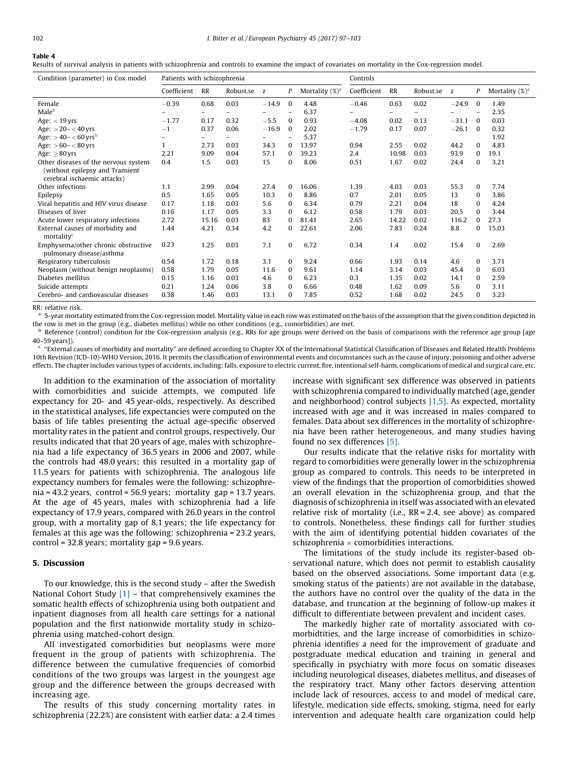# <span id="page-5-0"></span>Table 4

Results of survival analysis in patients with schizophrenia and controls to examine the impact of covariates on mortality in the Cox-regression model.

| Condition (parameter) in Cox model                                                                     | Patients with schizophrenia |                           |      |                    |                          |       | Controls                 |        |      |                    |              |       |  |
|--------------------------------------------------------------------------------------------------------|-----------------------------|---------------------------|------|--------------------|--------------------------|-------|--------------------------|--------|------|--------------------|--------------|-------|--|
|                                                                                                        | Coefficient                 | RR<br>P<br>Robust.se<br>z |      | Mortality $(\%)^a$ | Coefficient<br>RR        |       | Robust.se                | P<br>z |      | Mortality $(\%)^a$ |              |       |  |
| Female                                                                                                 | $-0.39$                     | 0.68                      | 0.03 | $-14.9$            | $\bf{0}$                 | 4.48  | $-0.46$                  | 0.63   | 0.02 | $-24.9$            | $\bf{0}$     | 1.49  |  |
| Male <sup>b</sup>                                                                                      |                             | $\qquad \qquad -$         | -    |                    | $\overline{\phantom{m}}$ | 6.37  | $\overline{\phantom{0}}$ | -      | -    |                    | -            | 2.35  |  |
| Age: $<$ 19 yrs                                                                                        | $-1.77$                     | 0.17                      | 0.32 | $-5.5$             | $\bf{0}$                 | 0.93  | $-4.08$                  | 0.02   | 0.13 | $-31.1$            | $\Omega$     | 0.03  |  |
| Age: $>$ 20 – $<$ 40 yrs                                                                               | $-1$                        | 0.37                      | 0.06 | $-16.9$            | $\mathbf{0}$             | 2.02  | $-1.79$                  | 0.17   | 0.07 | $-26.1$            | $\bf{0}$     | 0.32  |  |
| Age: $>40 - < 60$ yrs <sup>b</sup>                                                                     |                             | $\overline{\phantom{0}}$  |      |                    | $\overline{\phantom{m}}$ | 5.37  |                          |        |      |                    |              | 1.92  |  |
| Age: $> 60 - < 80$ yrs                                                                                 |                             | 2.73                      | 0.03 | 34.3               | 0                        | 13.97 | 0.94                     | 2.55   | 0.02 | 44.2               | $\mathbf{0}$ | 4.83  |  |
| Age: $\geq 80$ yrs                                                                                     | 2.21                        | 9.09                      | 0.04 | 57.1               | $\Omega$                 | 39.23 | 2.4                      | 10.98  | 0.03 | 93.9               | $\mathbf{0}$ | 19.1  |  |
| Other diseases of the nervous system<br>(without epilepsy and Transient<br>cerebral ischaemic attacks) | 0.4                         | 1.5                       | 0.03 | 15                 | $\mathbf{0}$             | 8.06  | 0.51                     | 1.67   | 0.02 | 24.4               | $\mathbf{0}$ | 3.21  |  |
| Other infections                                                                                       | 1.1                         | 2.99                      | 0.04 | 27.4               | $\mathbf{0}$             | 16.06 | 1.39                     | 4.03   | 0.03 | 55.3               | $\mathbf{0}$ | 7.74  |  |
| Epilepsy                                                                                               | 0.5                         | 1.65                      | 0.05 | 10.3               | 0                        | 8.86  | 0.7                      | 2.01   | 0.05 | 13                 | $\bf{0}$     | 3.86  |  |
| Viral hepatitis and HIV virus disease                                                                  | 0.17                        | 1.18                      | 0.03 | 5.6                | 0                        | 6.34  | 0.79                     | 2.21   | 0.04 | 18                 | $\Omega$     | 4.24  |  |
| Diseases of liver                                                                                      | 0.16                        | 1.17                      | 0.05 | 3.3                | $\Omega$                 | 6.12  | 0.58                     | 1.79   | 0.03 | 20.5               | $\Omega$     | 3.44  |  |
| Acute lower respiratory infections                                                                     | 2.72                        | 15.16                     | 0.03 | 83                 | $\Omega$                 | 81.41 | 2.65                     | 14.22  | 0.02 | 116.2              | 0            | 27.3  |  |
| External causes of morbidity and<br>mortality <sup>c</sup>                                             | 1.44                        | 4.21                      | 0.34 | 4.2                | $\mathbf{0}$             | 22.61 | 2.06                     | 7.83   | 0.24 | 8.8                | $\bf{0}$     | 15.03 |  |
| Emphysema/other chronic obstructive<br>pulmonary disease/asthma                                        | 0.23                        | 1.25                      | 0.03 | 7.1                | $\mathbf{0}$             | 6.72  | 0.34                     | 1.4    | 0.02 | 15.4               | $\mathbf{0}$ | 2.69  |  |
| Respiratory tuberculosis                                                                               | 0.54                        | 1.72                      | 0.18 | 3.1                | $\mathbf{0}$             | 9.24  | 0.66                     | 1.93   | 0.14 | 4.6                | $\mathbf{0}$ | 3.71  |  |
| Neoplasm (without benign neoplasms)                                                                    | 0.58                        | 1.79                      | 0.05 | 11.6               | $\mathbf{0}$             | 9.61  | 1.14                     | 3.14   | 0.03 | 45.4               | $\mathbf{0}$ | 6.03  |  |
| Diabetes mellitus                                                                                      | 0.15                        | 1.16                      | 0.03 | 4.6                | 0                        | 6.23  | 0.3                      | 1.35   | 0.02 | 14.1               | $\bf{0}$     | 2.59  |  |
| Suicide attempts                                                                                       | 0.21                        | 1.24                      | 0.06 | 3.8                | 0                        | 6.66  | 0.48                     | 1.62   | 0.09 | 5.6                | $\bf{0}$     | 3.11  |  |
| Cerebro- and cardiovascular diseases                                                                   | 0.38                        | 1.46                      | 0.03 | 13.1               | 0                        | 7.85  | 0.52                     | 1.68   | 0.02 | 24.5               | $\bf{0}$     | 3.23  |  |

RR: relative risk.

<sup>a</sup> 5-year mortality estimated from the Cox-regression model. Mortality value in each row was estimated on the basis of the assumption that the given condition depicted in the row is met in the group (e.g., diabetes mellitus) while no other conditions (e.g., comorbidities) are met.

Reference (control) condition for the Cox-regression analysis (e.g., RRs for age groups were derived on the basis of comparisons with the reference age group [age 40–59 years]).

<sup>c</sup> ''External causes of morbidity and mortality'' are defined according to Chapter XX of the International Statistical Classification of Diseases and Related Health Problems 10th Revision (ICD-10)-WHO Version, 2016. It permits the classification of environmental events and circumstances such as the cause of injury, poisoning and other adverse effects. The chapter includes various types of accidents, including: falls, exposure to electric current, fire, intentional self-harm, complications of medical and surgical care, etc.

In addition to the examination of the association of mortality with comorbidities and suicide attempts, we computed life expectancy for 20- and 45 year-olds, respectively. As described in the statistical analyses, life expectancies were computed on the basis of life tables presenting the actual age-specific observed mortality rates in the patient and control groups, respectively. Our results indicated that that 20 years of age, males with schizophrenia had a life expectancy of 36.5 years in 2006 and 2007, while the controls had 48.0 years; this resulted in a mortality gap of 11.5 years for patients with schizophrenia. The analogous life expectancy numbers for females were the following: schizophrenia = 43.2 years, control = 56.9 years; mortality gap = 13.7 years. At the age of 45 years, males with schizophrenia had a life expectancy of 17.9 years, compared with 26.0 years in the control group, with a mortality gap of 8.1 years; the life expectancy for females at this age was the following: schizophrenia = 23.2 years, control = 32.8 years; mortality gap = 9.6 years.

# 5. Discussion

To our knowledge, this is the second study – after the Swedish National Cohort Study  $[1]$  – that comprehensively examines the somatic health effects of schizophrenia using both outpatient and inpatient diagnoses from all health care settings for a national population and the first nationwide mortality study in schizophrenia using matched-cohort design.

All investigated comorbidities but neoplasms were more frequent in the group of patients with schizophrenia. The difference between the cumulative frequencies of comorbid conditions of the two groups was largest in the youngest age group and the difference between the groups decreased with increasing age.

The results of this study concerning mortality rates in schizophrenia (22.2%) are consistent with earlier data: a 2.4 times increase with significant sex difference was observed in patients with schizophrenia compared to individually matched (age, gender and neighborhood) control subjects [\[1,5\]](#page-6-0). As expected, mortality increased with age and it was increased in males compared to females. Data about sex differences in the mortality of schizophrenia have been rather heterogeneous, and many studies having found no sex differences [\[5\]](#page-6-0).

Our results indicate that the relative risks for mortality with regard to comorbidities were generally lower in the schizophrenia group as compared to controls. This needs to be interpreted in view of the findings that the proportion of comorbidities showed an overall elevation in the schizophrenia group, and that the diagnosis of schizophrenia in itself was associated with an elevated relative risk of mortality (i.e., RR = 2.4, see above) as compared to controls. Nonetheless, these findings call for further studies with the aim of identifying potential hidden covariates of the schizophrenia  $\times$  comorbidities interactions.

The limitations of the study include its register-based observational nature, which does not permit to establish causality based on the observed associations. Some important data (e.g. smoking status of the patients) are not available in the database, the authors have no control over the quality of the data in the database, and truncation at the beginning of follow-up makes it difficult to differentiate between prevalent and incident cases.

The markedly higher rate of mortality associated with comorbidtities, and the large increase of comorbidities in schizophrenia identifies a need for the improvement of graduate and postgraduate medical education and training in general and specifically in psychiatry with more focus on somatic diseases including neurological diseases, diabetes mellitus, and diseases of the respiratory tract. Many other factors deserving attention include lack of resources, access to and model of medical care, lifestyle, medication side effects, smoking, stigma, need for early intervention and adequate health care organization could help